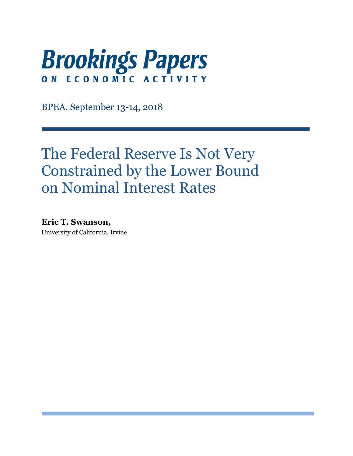

BPEA, September 13-14, 2018

# The Federal Reserve Is Not Very Constrained by the Lower Bound on Nominal Interest Rates

**Eric T. Swanson,** University of California, Irvine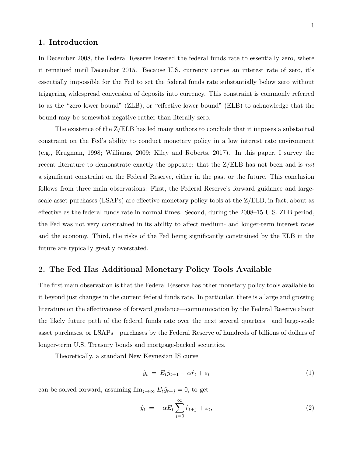#### **1. Introduction**

In December 2008, the Federal Reserve lowered the federal funds rate to essentially zero, where it remained until December 2015. Because U.S. currency carries an interest rate of zero, it's essentially impossible for the Fed to set the federal funds rate substantially below zero without triggering widespread conversion of deposits into currency. This constraint is commonly referred to as the "zero lower bound" (ZLB), or "effective lower bound" (ELB) to acknowledge that the bound may be somewhat negative rather than literally zero.

The existence of the Z/ELB has led many authors to conclude that it imposes a substantial constraint on the Fed's ability to conduct monetary policy in a low interest rate environment (e.g., Krugman, 1998; Williams, 2009; Kiley and Roberts, 2017). In this paper, I survey the recent literature to demonstrate exactly the opposite: that the Z/ELB has not been and is *not* a significant constraint on the Federal Reserve, either in the past or the future. This conclusion follows from three main observations: First, the Federal Reserve's forward guidance and largescale asset purchases (LSAPs) are effective monetary policy tools at the Z/ELB, in fact, about as effective as the federal funds rate in normal times. Second, during the 2008–15 U.S. ZLB period, the Fed was not very constrained in its ability to affect medium- and longer-term interest rates and the economy. Third, the risks of the Fed being significantly constrained by the ELB in the future are typically greatly overstated.

#### **2. The Fed Has Additional Monetary Policy Tools Available**

The first main observation is that the Federal Reserve has other monetary policy tools available to it beyond just changes in the current federal funds rate. In particular, there is a large and growing literature on the effectiveness of forward guidance—communication by the Federal Reserve about the likely future path of the federal funds rate over the next several quarters—and large-scale asset purchases, or LSAPs—purchases by the Federal Reserve of hundreds of billions of dollars of longer-term U.S. Treasury bonds and mortgage-backed securities.

Theoretically, a standard New Keynesian IS curve

$$
\hat{y}_t = E_t \hat{y}_{t+1} - \alpha \hat{r}_t + \varepsilon_t \tag{1}
$$

can be solved forward, assuming  $\lim_{j\to\infty} E_t\hat{y}_{t+j} = 0$ , to get

$$
\hat{y}_t = -\alpha E_t \sum_{j=0}^{\infty} \hat{r}_{t+j} + \varepsilon_t,\tag{2}
$$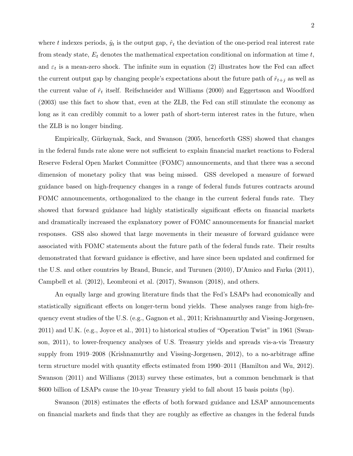where t indexes periods,  $\hat{y}_t$  is the output gap,  $\hat{r}_t$  the deviation of the one-period real interest rate from steady state,  $E_t$  denotes the mathematical expectation conditional on information at time  $t$ , and  $\varepsilon_t$  is a mean-zero shock. The infinite sum in equation (2) illustrates how the Fed can affect the current output gap by changing people's expectations about the future path of  $\hat{r}_{t+j}$  as well as the current value of  $\hat{r}_t$  itself. Reifschneider and Williams (2000) and Eggertsson and Woodford (2003) use this fact to show that, even at the ZLB, the Fed can still stimulate the economy as long as it can credibly commit to a lower path of short-term interest rates in the future, when the ZLB is no longer binding.

Empirically, Gürkaynak, Sack, and Swanson (2005, henceforth GSS) showed that changes in the federal funds rate alone were not sufficient to explain financial market reactions to Federal Reserve Federal Open Market Committee (FOMC) announcements, and that there was a second dimension of monetary policy that was being missed. GSS developed a measure of forward guidance based on high-frequency changes in a range of federal funds futures contracts around FOMC announcements, orthogonalized to the change in the current federal funds rate. They showed that forward guidance had highly statistically significant effects on financial markets and dramatically increased the explanatory power of FOMC announcements for financial market responses. GSS also showed that large movements in their measure of forward guidance were associated with FOMC statements about the future path of the federal funds rate. Their results demonstrated that forward guidance is effective, and have since been updated and confirmed for the U.S. and other countries by Brand, Buncic, and Turunen (2010), D'Amico and Farka (2011), Campbell et al. (2012), Leombroni et al. (2017), Swanson (2018), and others.

An equally large and growing literature finds that the Fed's LSAPs had economically and statistically significant effects on longer-term bond yields. These analyses range from high-frequency event studies of the U.S. (e.g., Gagnon et al., 2011; Krishnamurthy and Vissing-Jorgensen, 2011) and U.K. (e.g., Joyce et al., 2011) to historical studies of "Operation Twist" in 1961 (Swanson, 2011), to lower-frequency analyses of U.S. Treasury yields and spreads vis-a-vis Treasury supply from 1919–2008 (Krishnamurthy and Vissing-Jorgensen, 2012), to a no-arbitrage affine term structure model with quantity effects estimated from 1990–2011 (Hamilton and Wu, 2012). Swanson (2011) and Williams (2013) survey these estimates, but a common benchmark is that \$600 billion of LSAPs cause the 10-year Treasury yield to fall about 15 basis points (bp).

Swanson (2018) estimates the effects of both forward guidance and LSAP announcements on financial markets and finds that they are roughly as effective as changes in the federal funds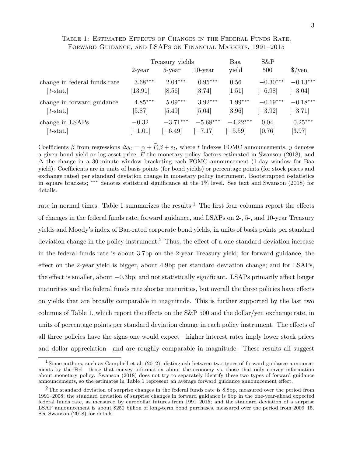## Table 1: Estimated Effects of Changes in the Federal Funds Rate, Forward Guidance, and LSAPs on Financial Markets, 1991–2015

|                                                                                                                                                                                                                                                    | Treasury yields |            |            | Baa        | $S\&P$     |                               |
|----------------------------------------------------------------------------------------------------------------------------------------------------------------------------------------------------------------------------------------------------|-----------------|------------|------------|------------|------------|-------------------------------|
|                                                                                                                                                                                                                                                    | $2$ -year       | 5-year     | $10$ -year | yield      | 500        | $\frac{\text{g}}{\text{yen}}$ |
| change in federal funds rate                                                                                                                                                                                                                       | $3.68***$       | $2.04***$  | $0.95***$  | 0.56       | $-0.30***$ | $-0.13***$                    |
| $[t-stat.]$                                                                                                                                                                                                                                        | $[13.91]$       | [8.56]     | [3.74]     | [1.51]     | $[-6.98]$  | $[-3.04]$                     |
| change in forward guidance                                                                                                                                                                                                                         | $4.85***$       | $5.09***$  | $3.92***$  | $1.99***$  | $-0.19***$ | $-0.18***$                    |
| $[t-stat.]$                                                                                                                                                                                                                                        | $[5.87]$        | $[5.49]$   | $[5.04]$   | $[3.96]$   | $[-3.92]$  | $[-3.71]$                     |
| change in LSAPs                                                                                                                                                                                                                                    | $-0.32$         | $-3.71***$ | $-5.68***$ | $-4.22***$ | 0.04       | $0.25***$                     |
| $[t-stat.]$                                                                                                                                                                                                                                        | $[-1.01]$       | $[-6.49]$  | $[-7.17]$  | $[-5.59]$  | [0.76]     | [3.97]                        |
| Coefficients $\beta$ from regressions $\Delta y_t = \alpha + F_t \beta + \varepsilon_t$ , where t indexes FOMC announcements, y denotes<br>a given bond yield or log asset price, $F$ the monetary policy factors estimated in Swanson (2018), and |                 |            |            |            |            |                               |

a given bond yield or log asset price,  $\tilde{F}$  the monetary policy factors estimated in Swanson (2018), and  $\Delta$  the change in a 30-minute window bracketing each FOMC announcement (1-day window for Baa yield). Coefficients are in units of basis points (for bond yields) or percentage points (for stock prices and exchange rates) per standard deviation change in monetary policy instrument. Bootstrapped t-statistics in square brackets; ∗∗∗ denotes statistical significance at the 1% level. See text and Swanson (2018) for details.

rate in normal times. Table 1 summarizes the results.<sup>1</sup> The first four columns report the effects of changes in the federal funds rate, forward guidance, and LSAPs on 2-, 5-, and 10-year Treasury yields and Moody's index of Baa-rated corporate bond yields, in units of basis points per standard deviation change in the policy instrument.<sup>2</sup> Thus, the effect of a one-standard-deviation increase in the federal funds rate is about 3.7bp on the 2-year Treasury yield; for forward guidance, the effect on the 2-year yield is bigger, about 4.9bp per standard deviation change; and for LSAPs, the effect is smaller, about *−*0.3bp, and not statistically significant. LSAPs primarily affect longer maturities and the federal funds rate shorter maturities, but overall the three policies have effects on yields that are broadly comparable in magnitude. This is further supported by the last two columns of Table 1, which report the effects on the S&P 500 and the dollar/yen exchange rate, in units of percentage points per standard deviation change in each policy instrument. The effects of all three policies have the signs one would expect—higher interest rates imply lower stock prices and dollar appreciation—and are roughly comparable in magnitude. These results all suggest

<sup>&</sup>lt;sup>1</sup> Some authors, such as Campbell et al. (2012), distinguish between two types of forward guidance announcements by the Fed—those that convey information about the economy vs. those that only convey information about monetary policy. Swanson (2018) does not try to separately identify these two types of forward guidance announcements, so the estimates in Table 1 represent an average forward guidance announcement effect.

<sup>&</sup>lt;sup>2</sup>The standard deviation of surprise changes in the federal funds rate is 8.8bp, measured over the period from 1991–2008; the standard deviation of surprise changes in forward guidance is 6bp in the one-year-ahead expected federal funds rate, as measured by eurodollar futures from 1991–2015; and the standard deviation of a surprise LSAP announcement is about \$250 billion of long-term bond purchases, measured over the period from 2009–15. See Swanson (2018) for details.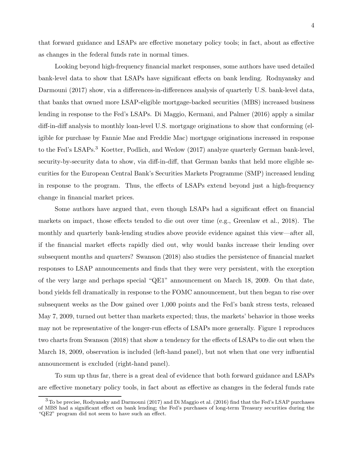that forward guidance and LSAPs are effective monetary policy tools; in fact, about as effective as changes in the federal funds rate in normal times.

Looking beyond high-frequency financial market responses, some authors have used detailed bank-level data to show that LSAPs have significant effects on bank lending. Rodnyansky and Darmouni (2017) show, via a differences-in-differences analysis of quarterly U.S. bank-level data, that banks that owned more LSAP-eligible mortgage-backed securities (MBS) increased business lending in response to the Fed's LSAPs. Di Maggio, Kermani, and Palmer (2016) apply a similar diff-in-diff analysis to monthly loan-level U.S. mortgage originations to show that conforming (eligible for purchase by Fannie Mae and Freddie Mac) mortgage originations increased in response to the Fed's LSAPs.<sup>3</sup> Koetter, Podlich, and Wedow (2017) analyze quarterly German bank-level, security-by-security data to show, via diff-in-diff, that German banks that held more eligible securities for the European Central Bank's Securities Markets Programme (SMP) increased lending in response to the program. Thus, the effects of LSAPs extend beyond just a high-frequency change in financial market prices.

Some authors have argued that, even though LSAPs had a significant effect on financial markets on impact, those effects tended to die out over time (e.g., Greenlaw et al., 2018). The monthly and quarterly bank-lending studies above provide evidence against this view—after all, if the financial market effects rapidly died out, why would banks increase their lending over subsequent months and quarters? Swanson (2018) also studies the persistence of financial market responses to LSAP announcements and finds that they were very persistent, with the exception of the very large and perhaps special "QE1" announcement on March 18, 2009. On that date, bond yields fell dramatically in response to the FOMC announcement, but then began to rise over subsequent weeks as the Dow gained over 1,000 points and the Fed's bank stress tests, released May 7, 2009, turned out better than markets expected; thus, the markets' behavior in those weeks may not be representative of the longer-run effects of LSAPs more generally. Figure 1 reproduces two charts from Swanson (2018) that show a tendency for the effects of LSAPs to die out when the March 18, 2009, observation is included (left-hand panel), but not when that one very influential announcement is excluded (right-hand panel).

To sum up thus far, there is a great deal of evidence that both forward guidance and LSAPs are effective monetary policy tools, in fact about as effective as changes in the federal funds rate

<sup>&</sup>lt;sup>3</sup>To be precise, Rodyansky and Darmouni (2017) and Di Maggio et al. (2016) find that the Fed's LSAP purchases of MBS had a significant effect on bank lending; the Fed's purchases of long-term Treasury securities during the "QE2" program did not seem to have such an effect.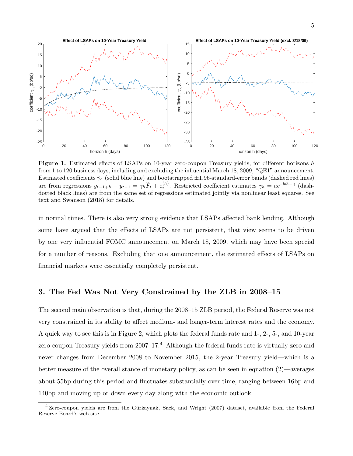

**Figure 1.** Estimated effects of LSAPs on 10-year zero-coupon Treasury yields, for different horizons h from 1 to 120 business days, including and excluding the influential March 18, 2009, "QE1" announcement. Estimated coefficients  $\hat{\gamma}_h$  (solid blue line) and bootstrapped  $\pm 1.96$ -standard-error bands (dashed red lines) borizon h (days)<br>**Figure 1.** Estimated effects of LSAPs on 10-year zero-coupon Treasury yields, for different horizons h<br>from 1 to 120 business days, including and excluding the influential March 18, 2009, "QE1" announcem dotted black lines) are from the same set of regressions estimated jointly via nonlinear least squares. See text and Swanson (2018) for details.

in normal times. There is also very strong evidence that LSAPs affected bank lending. Although some have argued that the effects of LSAPs are not persistent, that view seems to be driven by one very influential FOMC announcement on March 18, 2009, which may have been special for a number of reasons. Excluding that one announcement, the estimated effects of LSAPs on financial markets were essentially completely persistent.

## **3. The Fed Was Not Very Constrained by the ZLB in 2008–15**

The second main observation is that, during the 2008–15 ZLB period, the Federal Reserve was not very constrained in its ability to affect medium- and longer-term interest rates and the economy. A quick way to see this is in Figure 2, which plots the federal funds rate and 1-, 2-, 5-, and 10-year zero-coupon Treasury yields from  $2007-17<sup>4</sup>$  Although the federal funds rate is virtually zero and never changes from December 2008 to November 2015, the 2-year Treasury yield—which is a better measure of the overall stance of monetary policy, as can be seen in equation (2)—averages about 55bp during this period and fluctuates substantially over time, ranging between 16bp and 140bp and moving up or down every day along with the economic outlook.

 $4$ Zero-coupon yields are from the Gürkaynak, Sack, and Wright (2007) dataset, available from the Federal Reserve Board's web site.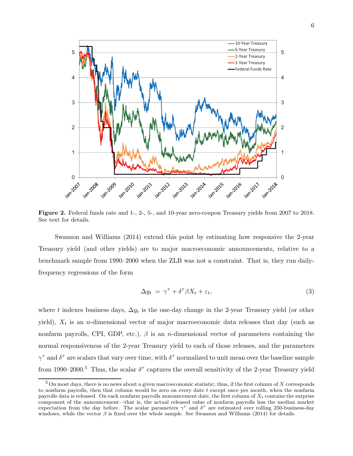

**Figure 2.** Federal funds rate and 1-, 2-, 5-, and 10-year zero-coupon Treasury yields from 2007 to 2018. See text for details.

Swanson and Williams (2014) extend this point by estimating how responsive the 2-year Treasury yield (and other yields) are to major macroeconomic announcements, relative to a benchmark sample from 1990–2000 when the ZLB was not a constraint. That is, they run dailyfrequency regressions of the form

$$
\Delta y_t = \gamma^\tau + \delta^\tau \beta X_t + \varepsilon_t,\tag{3}
$$

where t indexes business days,  $\Delta y_t$  is the one-day change in the 2-year Treasury yield (or other yield),  $X_t$  is an *n*-dimensional vector of major macroeconomic data releases that day (such as nonfarm payrolls, CPI, GDP, etc.),  $\beta$  is an *n*-dimensional vector of parameters containing the normal responsiveness of the 2-year Treasury yield to each of those releases, and the parameters  $\gamma^{\tau}$  and  $\delta^{\tau}$  are scalars that vary over time, with  $\delta^{\tau}$  normalized to unit mean over the baseline sample from 1990–2000.<sup>5</sup> Thus, the scalar  $\delta^{\tau}$  captures the overall sensitivity of the 2-year Treasury yield

 $5$  On most days, there is no news about a given macroeconomic statistic; thus, if the first column of X corresponds to nonfarm payrolls, then that column would be zero on every date  $t$  except once per month, when the nonfarm payrolls data is released. On each nonfarm payrolls announcement date, the first column of  $X_t$  contains the surprise component of the announcement—that is, the actual released value of nonfarm payrolls less the median market expectation from the day before. The scalar parameters  $\gamma^{\tau}$  and  $\delta^{\tau}$  are estimated over rolling 250-business-day windows, while the vector  $\beta$  is fixed over the whole sample. See Swanson and Williams (2014) for details.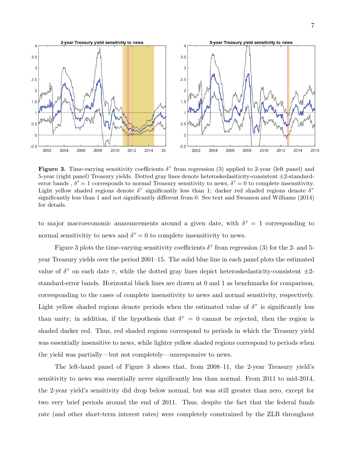

**Figure 3.** Time-varying sensitivity coefficients  $\delta^{\tau}$  from regression (3) applied to 2-year (left panel) and 5-year (right panel) Treasury yields. Dotted gray lines denote heteroskedasiticity-consistent *±*2-standarderror bands,  $\delta^{\tau} = 1$  corresponds to normal Treasury sensitivity to news,  $\delta^{\tau} = 0$  to complete insensitivity. Light yellow shaded regions denote  $\delta^{\tau}$  significantly less than 1; darker red shaded regions denote  $\delta^{\tau}$ significantly less than 1 and not significantly different from 0. See text and Swanson and Williams (2014) for details.

to major macroeconomic announcements around a given date, with  $\delta^{\tau} = 1$  corresponding to normal sensitivity to news and  $\delta^{\tau} = 0$  to complete insensitivity to news.

Figure 3 plots the time-varying sensitivity coefficients  $\delta^{\tau}$  from regression (3) for the 2- and 5year Treasury yields over the period 2001–15. The solid blue line in each panel plots the estimated value of  $\delta^{\tau}$  on each date  $\tau$ , while the dotted gray lines depict heteroskedasticity-consistent  $\pm 2$ standard-error bands. Horizontal black lines are drawn at 0 and 1 as benchmarks for comparison, corresponding to the cases of complete insensitivity to news and normal sensitivity, respectively. Light yellow shaded regions denote periods when the estimated value of  $\delta^{\tau}$  is significantly less than unity; in addition, if the hypothesis that  $\delta^{\tau} = 0$  cannot be rejected, then the region is shaded darker red. Thus, red shaded regions correspond to periods in which the Treasury yield was essentially insensitive to news, while lighter yellow shaded regions correspond to periods when the yield was partially—but not completely—unresponsive to news.

The left-hand panel of Figure 3 shows that, from 2008–11, the 2-year Treasury yield's sensitivity to news was essentially never significantly less than normal. From 2011 to mid-2014, the 2-year yield's sensitivity did drop below normal, but was still greater than zero, except for two very brief periods around the end of 2011. Thus, despite the fact that the federal funds rate (and other short-term interest rates) were completely constrained by the ZLB throughout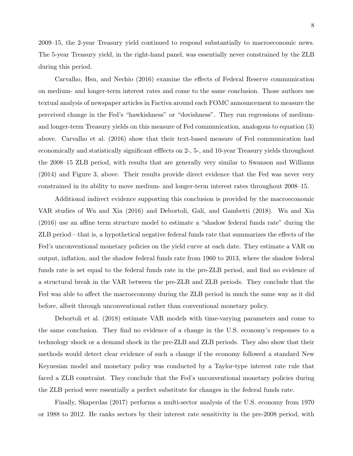2009–15, the 2-year Treasury yield continued to respond substantially to macroeconomic news. The 5-year Treasury yield, in the right-hand panel, was essentially never constrained by the ZLB during this period.

Carvalho, Hsu, and Nechio (2016) examine the effects of Federal Reserve communication on medium- and longer-term interest rates and come to the same conclusion. Those authors use textual analysis of newspaper articles in Factiva around each FOMC announcement to measure the perceived change in the Fed's "hawkishness" or "dovishness". They run regressions of mediumand longer-term Treasury yields on this measure of Fed communication, analogous to equation (3) above. Carvalho et al. (2016) show that their text-based measure of Fed communication had economically and statistically significant efffects on 2-, 5-, and 10-year Treasury yields throughout the 2008–15 ZLB period, with results that are generally very similar to Swanson and Williams (2014) and Figure 3, above. Their results provide direct evidence that the Fed was never very constrained in its ability to move medium- and longer-term interest rates throughout 2008–15.

Additional indirect evidence supporting this conclusion is provided by the macroeconomic VAR studies of Wu and Xia (2016) and Debortoli, Galí, and Gambetti (2018). Wu and Xia (2016) use an affine term structure model to estimate a "shadow federal funds rate" during the ZLB period—that is, a hypothetical negative federal funds rate that summarizes the effects of the Fed's unconventional monetary policies on the yield curve at each date. They estimate a VAR on output, inflation, and the shadow federal funds rate from 1960 to 2013, where the shadow federal funds rate is set equal to the federal funds rate in the pre-ZLB period, and find no evidence of a structural break in the VAR between the pre-ZLB and ZLB periods. They conclude that the Fed was able to affect the macroeconomy during the ZLB period in much the same way as it did before, albeit through unconventional rather than conventional monetary policy.

Debortoli et al. (2018) estimate VAR models with time-varying parameters and come to the same conclusion. They find no evidence of a change in the U.S. economy's responses to a technology shock or a demand shock in the pre-ZLB and ZLB periods. They also show that their methods would detect clear evidence of such a change if the economy followed a standard New Keynesian model and monetary policy was conducted by a Taylor-type interest rate rule that faced a ZLB constraint. They conclude that the Fed's unconventional monetary policies during the ZLB period were essentially a perfect substitute for changes in the federal funds rate.

Finally, Skaperdas (2017) performs a multi-sector analysis of the U.S. economy from 1970 or 1988 to 2012. He ranks sectors by their interest rate sensitivity in the pre-2008 period, with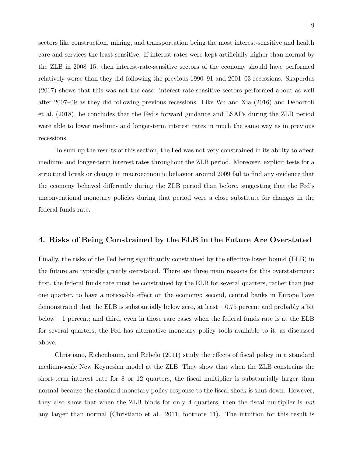sectors like construction, mining, and transportation being the most interest-sensitive and health care and services the least sensitive. If interest rates were kept artificially higher than normal by the ZLB in 2008–15, then interest-rate-sensitive sectors of the economy should have performed relatively worse than they did following the previous 1990–91 and 2001–03 recessions. Skaperdas (2017) shows that this was not the case: interest-rate-sensitive sectors performed about as well after 2007–09 as they did following previous recessions. Like Wu and Xia (2016) and Debortoli et al. (2018), he concludes that the Fed's forward guidance and LSAPs during the ZLB period were able to lower medium- and longer-term interest rates in much the same way as in previous recessions.

To sum up the results of this section, the Fed was not very constrained in its ability to affect medium- and longer-term interest rates throughout the ZLB period. Moreover, explicit tests for a structural break or change in macroeconomic behavior around 2009 fail to find any evidence that the economy behaved differently during the ZLB period than before, suggesting that the Fed's unconventional monetary policies during that period were a close substitute for changes in the federal funds rate.

#### **4. Risks of Being Constrained by the ELB in the Future Are Overstated**

Finally, the risks of the Fed being significantly constrained by the effective lower bound (ELB) in the future are typically greatly overstated. There are three main reasons for this overstatement: first, the federal funds rate must be constrained by the ELB for several quarters, rather than just one quarter, to have a noticeable effect on the economy; second, central banks in Europe have demonstrated that the ELB is substantially below zero, at least *−*0.75 percent and probably a bit below *−*1 percent; and third, even in those rare cases when the federal funds rate is at the ELB for several quarters, the Fed has alternative monetary policy tools available to it, as discussed above.

Christiano, Eichenbaum, and Rebelo (2011) study the effects of fiscal policy in a standard medium-scale New Keynesian model at the ZLB. They show that when the ZLB constrains the short-term interest rate for 8 or 12 quarters, the fiscal multiplier is substantially larger than normal because the standard monetary policy response to the fiscal shock is shut down. However, they also show that when the ZLB binds for only 4 quarters, then the fiscal multiplier is *not* any larger than normal (Christiano et al., 2011, footnote 11). The intuition for this result is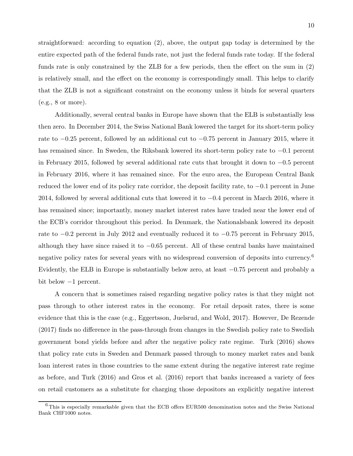straightforward: according to equation (2), above, the output gap today is determined by the entire expected path of the federal funds rate, not just the federal funds rate today. If the federal funds rate is only constrained by the ZLB for a few periods, then the effect on the sum in (2) is relatively small, and the effect on the economy is correspondingly small. This helps to clarify that the ZLB is not a significant constraint on the economy unless it binds for several quarters  $(e.g., 8 \text{ or more}).$ 

Additionally, several central banks in Europe have shown that the ELB is substantially less then zero. In December 2014, the Swiss National Bank lowered the target for its short-term policy rate to *−*0.25 percent, followed by an additional cut to *−*0.75 percent in January 2015, where it has remained since. In Sweden, the Riksbank lowered its short-term policy rate to *−*0.1 percent in February 2015, followed by several additional rate cuts that brought it down to *−*0.5 percent in February 2016, where it has remained since. For the euro area, the European Central Bank reduced the lower end of its policy rate corridor, the deposit facility rate, to *−*0.1 percent in June 2014, followed by several additional cuts that lowered it to *−*0.4 percent in March 2016, where it has remained since; importantly, money market interest rates have traded near the lower end of the ECB's corridor throughout this period. In Denmark, the Nationalsbank lowered its deposit rate to *−*0.2 percent in July 2012 and eventually reduced it to *−*0.75 percent in February 2015, although they have since raised it to *−*0.65 percent. All of these central banks have maintained negative policy rates for several years with no widespread conversion of deposits into currency.<sup>6</sup> Evidently, the ELB in Europe is substantially below zero, at least *−*0.75 percent and probably a bit below *−*1 percent.

A concern that is sometimes raised regarding negative policy rates is that they might not pass through to other interest rates in the economy. For retail deposit rates, there is some evidence that this is the case (e.g., Eggertsson, Juelsrud, and Wold, 2017). However, De Rezende (2017) finds no difference in the pass-through from changes in the Swedish policy rate to Swedish government bond yields before and after the negative policy rate regime. Turk (2016) shows that policy rate cuts in Sweden and Denmark passed through to money market rates and bank loan interest rates in those countries to the same extent during the negative interest rate regime as before, and Turk (2016) and Gros et al. (2016) report that banks increased a variety of fees on retail customers as a substitute for charging those depositors an explicitly negative interest

 $6$ This is especially remarkable given that the ECB offers EUR500 denomination notes and the Swiss National Bank CHF1000 notes.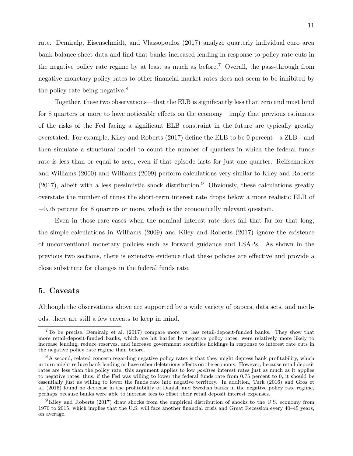rate. Demiralp, Eisenschmidt, and Vlassopoulos (2017) analyze quarterly individual euro area bank balance sheet data and find that banks increased lending in response to policy rate cuts in the negative policy rate regime by at least as much as before.<sup>7</sup> Overall, the pass-through from negative monetary policy rates to other financial market rates does not seem to be inhibited by the policy rate being negative.<sup>8</sup>

Together, these two observations—that the ELB is significantly less than zero and must bind for 8 quarters or more to have noticeable effects on the economy—imply that previous estimates of the risks of the Fed facing a significant ELB constraint in the future are typically greatly overstated. For example, Kiley and Roberts (2017) define the ELB to be 0 percent—a ZLB—and then simulate a structural model to count the number of quarters in which the federal funds rate is less than or equal to zero, even if that episode lasts for just one quarter. Reifschneider and Williams (2000) and Williams (2009) perform calculations very similar to Kiley and Roberts  $(2017)$ , albeit with a less pessimistic shock distribution.<sup>9</sup> Obviously, these calculations greatly overstate the number of times the short-term interest rate drops below a more realistic ELB of *−*0.75 percent for 8 quarters or more, which is the economically relevant question.

Even in those rare cases when the nominal interest rate does fall that far for that long, the simple calculations in Williams (2009) and Kiley and Roberts (2017) ignore the existence of unconventional monetary policies such as forward guidance and LSAPs. As shown in the previous two sections, there is extensive evidence that these policies are effective and provide a close substitute for changes in the federal funds rate.

#### **5. Caveats**

Although the observations above are supported by a wide variety of papers, data sets, and methods, there are still a few caveats to keep in mind.

<sup>7</sup>To be precise, Demiralp et al. (2017) compare more vs. less retail-deposit-funded banks. They show that more retail-deposit-funded banks, which are hit harder by negative policy rates, were relatively more likely to increase lending, reduce reserves, and increase government securities holdings in response to interest rate cuts in the negative policy rate regime than before.

<sup>&</sup>lt;sup>8</sup>A second, related concern regarding negative policy rates is that they might depress bank profitability, which in turn might reduce bank lending or have other deleterious effects on the economy. However, because retail deposit rates are less than the policy rate, this argument applies to low *positive* interest rates just as much as it applies to negative rates; thus, if the Fed was willing to lower the federal funds rate from 0.75 percent to 0, it should be essentially just as willing to lower the funds rate into negative territory. In addition, Turk (2016) and Gros et al. (2016) found no decrease in the profitability of Danish and Swedish banks in the negative policy rate regime, perhaps because banks were able to increase fees to offset their retail deposit interest expenses.

 $<sup>9</sup>$ Kiley and Roberts (2017) draw shocks from the empirical distribution of shocks to the U.S. economy from</sup> 1970 to 2015, which implies that the U.S. will face another financial crisis and Great Recession every 40–45 years, on average.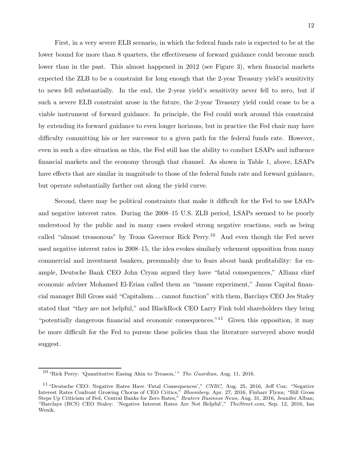First, in a very severe ELB scenario, in which the federal funds rate is expected to be at the lower bound for more than 8 quarters, the effectiveness of forward guidance could become much lower than in the past. This almost happened in 2012 (see Figure 3), when financial markets expected the ZLB to be a constraint for long enough that the 2-year Treasury yield's sensitivity to news fell substantially. In the end, the 2-year yield's sensitivity never fell to zero, but if such a severe ELB constraint arose in the future, the 2-year Treasury yield could cease to be a viable instrument of forward guidance. In principle, the Fed could work around this constraint by extending its forward guidance to even longer horizons, but in practice the Fed chair may have difficulty committing his or her successor to a given path for the federal funds rate. However, even in such a dire situation as this, the Fed still has the ability to conduct LSAPs and influence financial markets and the economy through that channel. As shown in Table 1, above, LSAPs have effects that are similar in magnitude to those of the federal funds rate and forward guidance, but operate substantially farther out along the yield curve.

Second, there may be political constraints that make it difficult for the Fed to use LSAPs and negative interest rates. During the 2008–15 U.S. ZLB period, LSAPs seemed to be poorly understood by the public and in many cases evoked strong negative reactions, such as being called "almost treasonous" by Texas Governor Rick Perry.<sup>10</sup> And even though the Fed never used negative interest rates in 2008–15, the idea evokes similarly vehement opposition from many commercial and investment bankers, presumably due to fears about bank profitability: for example, Deutsche Bank CEO John Cryan argued they have "fatal consequences," Allianz chief economic adviser Mohamed El-Erian called them an "insane experiment," Janus Capital financial manager Bill Gross said "Capitalism... cannot function" with them, Barclays CEO Jes Staley stated that "they are not helpful," and BlackRock CEO Larry Fink told shareholders they bring "potentially dangerous financial and economic consequences."<sup>11</sup> Given this opposition, it may be more difficult for the Fed to pursue these policies than the literature surveyed above would suggest.

<sup>&</sup>lt;sup>10</sup> "Rick Perry: 'Quantitative Easing Akin to Treason,'" The Guardian, Aug. 11, 2016.

<sup>11</sup> "Deutsche CEO: Negative Rates Have 'Fatal Consequences'," *CNBC,* Aug. 25, 2016, Jeff Cox; "Negative Interest Rates Confront Growing Chorus of CEO Critics," *Bloomberg,* Apr. 27, 2016, Finbarr Flynn; "Bill Gross Steps Up Criticism of Fed, Central Banks for Zero Rates," *Reuters Business News,* Aug. 31, 2016, Jennifer Alban; "Barclays (BCS) CEO Staley: 'Negative Interest Rates Are Not Helpful'," *TheStreet.com,* Sep. 12, 2016, Ian Wenik.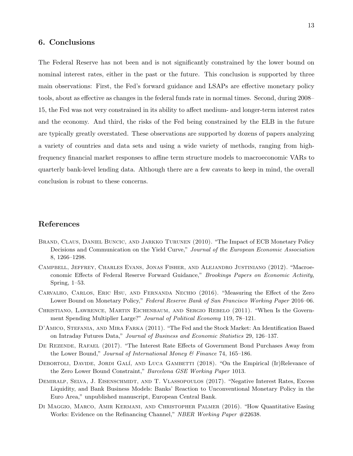## **6. Conclusions**

The Federal Reserve has not been and is not significantly constrained by the lower bound on nominal interest rates, either in the past or the future. This conclusion is supported by three main observations: First, the Fed's forward guidance and LSAPs are effective monetary policy tools, about as effective as changes in the federal funds rate in normal times. Second, during 2008– 15, the Fed was not very constrained in its ability to affect medium- and longer-term interest rates and the economy. And third, the risks of the Fed being constrained by the ELB in the future are typically greatly overstated. These observations are supported by dozens of papers analyzing a variety of countries and data sets and using a wide variety of methods, ranging from highfrequency financial market responses to affine term structure models to macroeconomic VARs to quarterly bank-level lending data. Although there are a few caveats to keep in mind, the overall conclusion is robust to these concerns.

# **References**

- Brand, Claus, Daniel Buncic, and Jarkko Turunen (2010). "The Impact of ECB Monetary Policy Decisions and Communication on the Yield Curve," *Journal of the European Economic Association* 8, 1266–1298.
- Campbell, Jeffrey, Charles Evans, Jonas Fisher, and Alejandro Justiniano (2012). "Macroeconomic Effects of Federal Reserve Forward Guidance," *Brookings Papers on Economic Activity,* Spring, 1–53.
- Carvalho, Carlos, Eric Hsu, and Fernanda Nechio (2016). "Measuring the Effect of the Zero Lower Bound on Monetary Policy," *Federal Reserve Bank of San Francisco Working Paper* 2016–06.
- CHRISTIANO, LAWRENCE, MARTIN EICHENBAUM, AND SERGIO REBELO (2011). "When Is the Government Spending Multiplier Large?" *Journal of Political Economy* 119, 78–121.
- D'AMICO, STEFANIA, AND MIRA FARKA (2011). "The Fed and the Stock Market: An Identification Based on Intraday Futures Data," *Journal of Business and Economic Statistics* 29, 126–137.
- De Rezende, Rafael (2017). "The Interest Rate Effects of Government Bond Purchases Away from the Lower Bound," *Journal of International Money & Finance* 74, 165–186.
- DEBORTOLI, DAVIDE, JORDI GALÍ, AND LUCA GAMBETTI (2018). "On the Empirical (Ir)Relevance of the Zero Lower Bound Constraint," *Barcelona GSE Working Paper* 1013.
- DEMIRALP, SELVA, J. EISENSCHMIDT, AND T. VLASSOPOULOS (2017). "Negative Interest Rates, Excess Liquidity, and Bank Business Models: Banks' Reaction to Unconventional Monetary Policy in the Euro Area," unpublished manuscript, European Central Bank.
- Di Maggio, Marco, Amir Kermani, and Christopher Palmer (2016). "How Quantitative Easing Works: Evidence on the Refinancing Channel," *NBER Working Paper* #22638.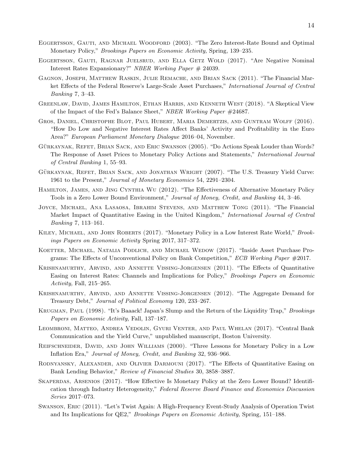- Eggertsson, Gauti, and Michael Woodford (2003). "The Zero Interest-Rate Bound and Optimal Monetary Policy," *Brookings Papers on Economic Activity,* Spring, 139–235.
- EGGERTSSON, GAUTI, RAGNAR JUELSRUD, AND ELLA GETZ WOLD (2017). "Are Negative Nominal Interest Rates Expansionary?" *NBER Working Paper* # 24039.
- Gagnon, Joseph, Matthew Raskin, Julie Remache, and Brian Sack (2011). "The Financial Market Effects of the Federal Reserve's Large-Scale Asset Purchases," *International Journal of Central Banking* 7, 3–43.
- Greenlaw, David, James Hamilton, Ethan Harris, and Kenneth West (2018). "A Skeptical View of the Impact of the Fed's Balance Sheet," *NBER Working Paper* #24687.
- Gros, Daniel, Christophe Blot, Paul Hubert, Maria Demertzis, and Guntram Wolff (2016). "How Do Low and Negative Interest Rates Affect Banks' Activity and Profitability in the Euro Area?" *European Parliament Monetary Dialogue* 2016–04, November.
- GÜRKAYNAK, REFET, BRIAN SACK, AND ERIC SWANSON (2005). "Do Actions Speak Louder than Words? The Response of Asset Prices to Monetary Policy Actions and Statements," *International Journal of Central Banking* 1, 55–93.
- GÜRKAYNAK, REFET, BRIAN SACK, AND JONATHAN WRIGHT (2007). "The U.S. Treasury Yield Curve: 1961 to the Present," *Journal of Monetary Economics* 54, 2291–2304.
- Hamilton, James, and Jing Cynthia Wu (2012). "The Effectiveness of Alternative Monetary Policy Tools in a Zero Lower Bound Environment," *Journal of Money, Credit, and Banking* 44, 3–46.
- Joyce, Michael, Ana Lasaosa, Ibrahim Stevens, and Matthew Tong (2011). "The Financial Market Impact of Quantitative Easing in the United Kingdom," *International Journal of Central Banking* 7, 113–161.
- Kiley, Michael, and John Roberts (2017). "Monetary Policy in a Low Interest Rate World," *Brookings Papers on Economic Activity* Spring 2017, 317–372.
- KOETTER, MICHAEL, NATALIA PODLICH, AND MICHAEL WEDOW (2017). "Inside Asset Purchase Programs: The Effects of Unconventional Policy on Bank Competition," *ECB Working Paper* #2017.
- Krishnamurthy, Arvind, and Annette Vissing-Jorgensen (2011). "The Effects of Quantitative Easing on Interest Rates: Channels and Implications for Policy," *Brookings Papers on Economic Activity,* Fall, 215–265.
- Krishnamurthy, Arvind, and Annette Vissing-Jorgensen (2012). "The Aggregate Demand for Treasury Debt," *Journal of Political Economy* 120, 233–267.
- Krugman, Paul (1998). "It's Baaack! Japan's Slump and the Return of the Liquidity Trap," *Brookings Papers on Economic Activity,* Fall, 137–187.
- Leombroni, Matteo, Andrea Vedolin, Gyuri Venter, and Paul Whelan (2017). "Central Bank Communication and the Yield Curve," unpublished manuscript, Boston University.
- Reifschneider, David, and John Williams (2000). "Three Lessons for Monetary Policy in a Low Inflation Era," *Journal of Money, Credit, and Banking* 32, 936–966.
- Rodnyansky, Alexander, and Olivier Darmouni (2017). "The Effects of Quantitative Easing on Bank Lending Behavior," *Review of Financial Studies* 30, 3858–3887.
- Skaperdas, Arsenios (2017). "How Effective Is Monetary Policy at the Zero Lower Bound? Identification through Industry Heterogeneity," *Federal Reserve Board Finance and Economics Discussion Series* 2017–073.
- Swanson, Eric (2011). "Let's Twist Again: A High-Frequency Event-Study Analysis of Operation Twist and Its Implications for QE2," *Brookings Papers on Economic Activity,* Spring, 151–188.